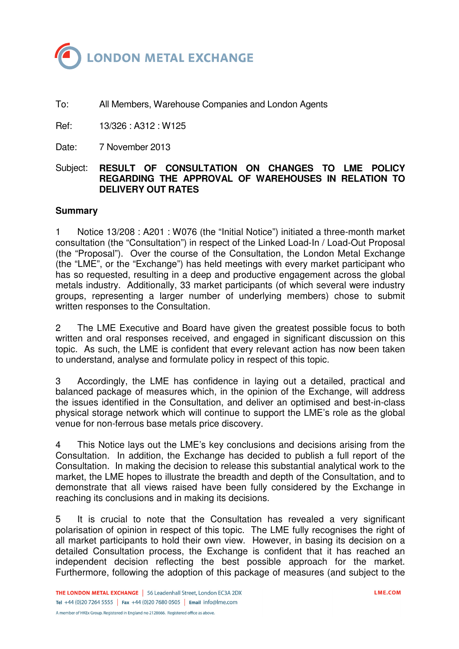

To: All Members, Warehouse Companies and London Agents

Ref: 13/326 : A312 : W125

Date: 7 November 2013

#### Subject: **RESULT OF CONSULTATION ON CHANGES TO LME POLICY REGARDING THE APPROVAL OF WAREHOUSES IN RELATION TO DELIVERY OUT RATES**

#### **Summary**

1 Notice 13/208 : A201 : W076 (the "Initial Notice") initiated a three-month market consultation (the "Consultation") in respect of the Linked Load-In / Load-Out Proposal (the "Proposal"). Over the course of the Consultation, the London Metal Exchange (the "LME", or the "Exchange") has held meetings with every market participant who has so requested, resulting in a deep and productive engagement across the global metals industry. Additionally, 33 market participants (of which several were industry groups, representing a larger number of underlying members) chose to submit written responses to the Consultation.

2 The LME Executive and Board have given the greatest possible focus to both written and oral responses received, and engaged in significant discussion on this topic. As such, the LME is confident that every relevant action has now been taken to understand, analyse and formulate policy in respect of this topic.

3 Accordingly, the LME has confidence in laying out a detailed, practical and balanced package of measures which, in the opinion of the Exchange, will address the issues identified in the Consultation, and deliver an optimised and best-in-class physical storage network which will continue to support the LME's role as the global venue for non-ferrous base metals price discovery.

4 This Notice lays out the LME's key conclusions and decisions arising from the Consultation. In addition, the Exchange has decided to publish a full report of the Consultation. In making the decision to release this substantial analytical work to the market, the LME hopes to illustrate the breadth and depth of the Consultation, and to demonstrate that all views raised have been fully considered by the Exchange in reaching its conclusions and in making its decisions.

5 It is crucial to note that the Consultation has revealed a very significant polarisation of opinion in respect of this topic. The LME fully recognises the right of all market participants to hold their own view. However, in basing its decision on a detailed Consultation process, the Exchange is confident that it has reached an independent decision reflecting the best possible approach for the market. Furthermore, following the adoption of this package of measures (and subject to the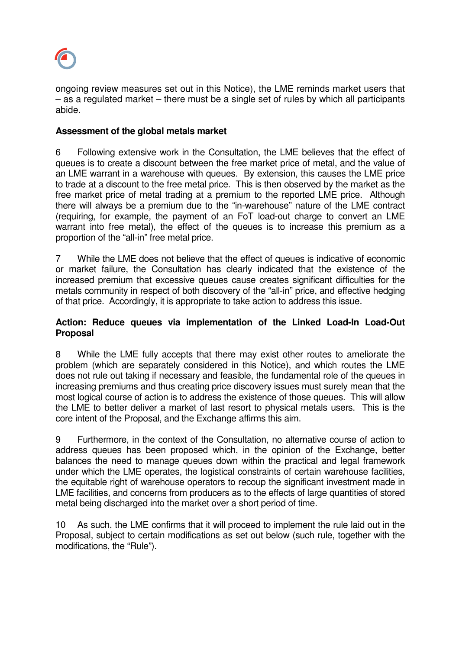

ongoing review measures set out in this Notice), the LME reminds market users that – as a regulated market – there must be a single set of rules by which all participants abide.

# **Assessment of the global metals market**

6 Following extensive work in the Consultation, the LME believes that the effect of queues is to create a discount between the free market price of metal, and the value of an LME warrant in a warehouse with queues. By extension, this causes the LME price to trade at a discount to the free metal price. This is then observed by the market as the free market price of metal trading at a premium to the reported LME price. Although there will always be a premium due to the "in-warehouse" nature of the LME contract (requiring, for example, the payment of an FoT load-out charge to convert an LME warrant into free metal), the effect of the queues is to increase this premium as a proportion of the "all-in" free metal price.

7 While the LME does not believe that the effect of queues is indicative of economic or market failure, the Consultation has clearly indicated that the existence of the increased premium that excessive queues cause creates significant difficulties for the metals community in respect of both discovery of the "all-in" price, and effective hedging of that price. Accordingly, it is appropriate to take action to address this issue.

## **Action: Reduce queues via implementation of the Linked Load-In Load-Out Proposal**

8 While the LME fully accepts that there may exist other routes to ameliorate the problem (which are separately considered in this Notice), and which routes the LME does not rule out taking if necessary and feasible, the fundamental role of the queues in increasing premiums and thus creating price discovery issues must surely mean that the most logical course of action is to address the existence of those queues. This will allow the LME to better deliver a market of last resort to physical metals users. This is the core intent of the Proposal, and the Exchange affirms this aim.

9 Furthermore, in the context of the Consultation, no alternative course of action to address queues has been proposed which, in the opinion of the Exchange, better balances the need to manage queues down within the practical and legal framework under which the LME operates, the logistical constraints of certain warehouse facilities, the equitable right of warehouse operators to recoup the significant investment made in LME facilities, and concerns from producers as to the effects of large quantities of stored metal being discharged into the market over a short period of time.

10 As such, the LME confirms that it will proceed to implement the rule laid out in the Proposal, subject to certain modifications as set out below (such rule, together with the modifications, the "Rule").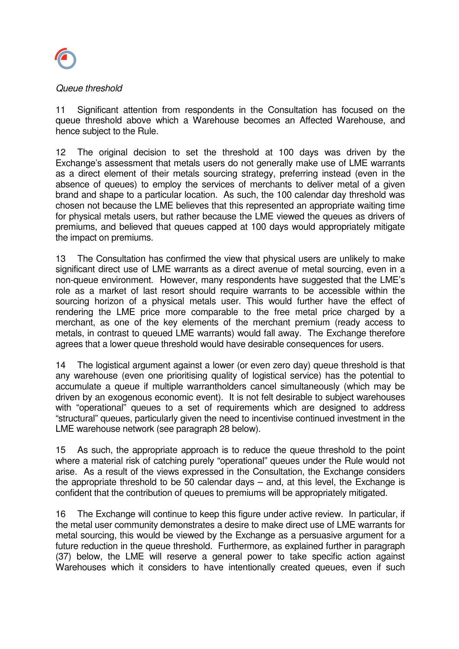

#### Queue threshold

11 Significant attention from respondents in the Consultation has focused on the queue threshold above which a Warehouse becomes an Affected Warehouse, and hence subject to the Rule.

12 The original decision to set the threshold at 100 days was driven by the Exchange's assessment that metals users do not generally make use of LME warrants as a direct element of their metals sourcing strategy, preferring instead (even in the absence of queues) to employ the services of merchants to deliver metal of a given brand and shape to a particular location. As such, the 100 calendar day threshold was chosen not because the LME believes that this represented an appropriate waiting time for physical metals users, but rather because the LME viewed the queues as drivers of premiums, and believed that queues capped at 100 days would appropriately mitigate the impact on premiums.

13 The Consultation has confirmed the view that physical users are unlikely to make significant direct use of LME warrants as a direct avenue of metal sourcing, even in a non-queue environment. However, many respondents have suggested that the LME's role as a market of last resort should require warrants to be accessible within the sourcing horizon of a physical metals user. This would further have the effect of rendering the LME price more comparable to the free metal price charged by a merchant, as one of the key elements of the merchant premium (ready access to metals, in contrast to queued LME warrants) would fall away. The Exchange therefore agrees that a lower queue threshold would have desirable consequences for users.

14 The logistical argument against a lower (or even zero day) queue threshold is that any warehouse (even one prioritising quality of logistical service) has the potential to accumulate a queue if multiple warrantholders cancel simultaneously (which may be driven by an exogenous economic event). It is not felt desirable to subject warehouses with "operational" queues to a set of requirements which are designed to address "structural" queues, particularly given the need to incentivise continued investment in the LME warehouse network (see paragraph 28 below).

15 As such, the appropriate approach is to reduce the queue threshold to the point where a material risk of catching purely "operational" queues under the Rule would not arise. As a result of the views expressed in the Consultation, the Exchange considers the appropriate threshold to be 50 calendar days – and, at this level, the Exchange is confident that the contribution of queues to premiums will be appropriately mitigated.

16 The Exchange will continue to keep this figure under active review. In particular, if the metal user community demonstrates a desire to make direct use of LME warrants for metal sourcing, this would be viewed by the Exchange as a persuasive argument for a future reduction in the queue threshold. Furthermore, as explained further in paragraph (37) below, the LME will reserve a general power to take specific action against Warehouses which it considers to have intentionally created queues, even if such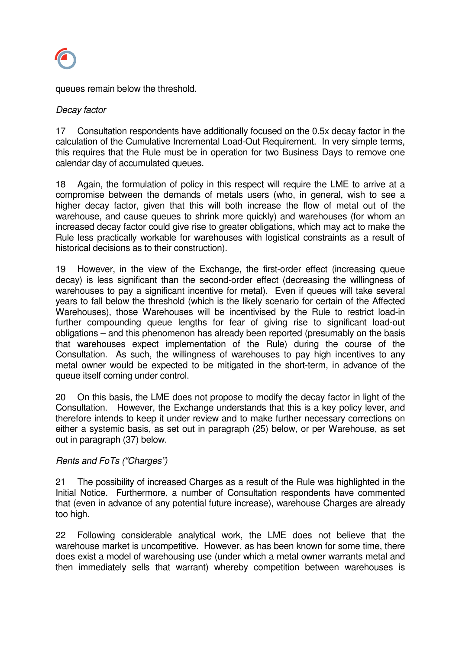

queues remain below the threshold.

## Decay factor

17 Consultation respondents have additionally focused on the 0.5x decay factor in the calculation of the Cumulative Incremental Load-Out Requirement. In very simple terms, this requires that the Rule must be in operation for two Business Days to remove one calendar day of accumulated queues.

18 Again, the formulation of policy in this respect will require the LME to arrive at a compromise between the demands of metals users (who, in general, wish to see a higher decay factor, given that this will both increase the flow of metal out of the warehouse, and cause queues to shrink more quickly) and warehouses (for whom an increased decay factor could give rise to greater obligations, which may act to make the Rule less practically workable for warehouses with logistical constraints as a result of historical decisions as to their construction).

19 However, in the view of the Exchange, the first-order effect (increasing queue decay) is less significant than the second-order effect (decreasing the willingness of warehouses to pay a significant incentive for metal). Even if queues will take several years to fall below the threshold (which is the likely scenario for certain of the Affected Warehouses), those Warehouses will be incentivised by the Rule to restrict load-in further compounding queue lengths for fear of giving rise to significant load-out obligations – and this phenomenon has already been reported (presumably on the basis that warehouses expect implementation of the Rule) during the course of the Consultation. As such, the willingness of warehouses to pay high incentives to any metal owner would be expected to be mitigated in the short-term, in advance of the queue itself coming under control.

20 On this basis, the LME does not propose to modify the decay factor in light of the Consultation. However, the Exchange understands that this is a key policy lever, and therefore intends to keep it under review and to make further necessary corrections on either a systemic basis, as set out in paragraph (25) below, or per Warehouse, as set out in paragraph (37) below.

## Rents and FoTs ("Charges")

21 The possibility of increased Charges as a result of the Rule was highlighted in the Initial Notice. Furthermore, a number of Consultation respondents have commented that (even in advance of any potential future increase), warehouse Charges are already too high.

22 Following considerable analytical work, the LME does not believe that the warehouse market is uncompetitive. However, as has been known for some time, there does exist a model of warehousing use (under which a metal owner warrants metal and then immediately sells that warrant) whereby competition between warehouses is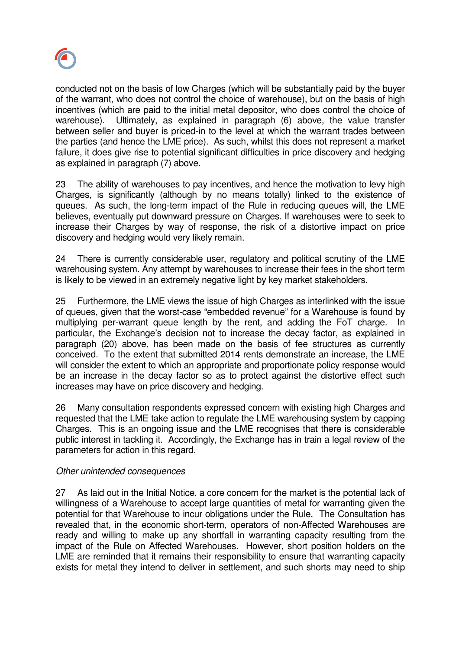

conducted not on the basis of low Charges (which will be substantially paid by the buyer of the warrant, who does not control the choice of warehouse), but on the basis of high incentives (which are paid to the initial metal depositor, who does control the choice of warehouse). Ultimately, as explained in paragraph (6) above, the value transfer between seller and buyer is priced-in to the level at which the warrant trades between the parties (and hence the LME price). As such, whilst this does not represent a market failure, it does give rise to potential significant difficulties in price discovery and hedging as explained in paragraph (7) above.

23 The ability of warehouses to pay incentives, and hence the motivation to levy high Charges, is significantly (although by no means totally) linked to the existence of queues. As such, the long-term impact of the Rule in reducing queues will, the LME believes, eventually put downward pressure on Charges. If warehouses were to seek to increase their Charges by way of response, the risk of a distortive impact on price discovery and hedging would very likely remain.

24 There is currently considerable user, regulatory and political scrutiny of the LME warehousing system. Any attempt by warehouses to increase their fees in the short term is likely to be viewed in an extremely negative light by key market stakeholders.

25 Furthermore, the LME views the issue of high Charges as interlinked with the issue of queues, given that the worst-case "embedded revenue" for a Warehouse is found by multiplying per-warrant queue length by the rent, and adding the FoT charge. In particular, the Exchange's decision not to increase the decay factor, as explained in paragraph (20) above, has been made on the basis of fee structures as currently conceived. To the extent that submitted 2014 rents demonstrate an increase, the LME will consider the extent to which an appropriate and proportionate policy response would be an increase in the decay factor so as to protect against the distortive effect such increases may have on price discovery and hedging.

26 Many consultation respondents expressed concern with existing high Charges and requested that the LME take action to regulate the LME warehousing system by capping Charges. This is an ongoing issue and the LME recognises that there is considerable public interest in tackling it. Accordingly, the Exchange has in train a legal review of the parameters for action in this regard.

## Other unintended consequences

27 As laid out in the Initial Notice, a core concern for the market is the potential lack of willingness of a Warehouse to accept large quantities of metal for warranting given the potential for that Warehouse to incur obligations under the Rule. The Consultation has revealed that, in the economic short-term, operators of non-Affected Warehouses are ready and willing to make up any shortfall in warranting capacity resulting from the impact of the Rule on Affected Warehouses. However, short position holders on the LME are reminded that it remains their responsibility to ensure that warranting capacity exists for metal they intend to deliver in settlement, and such shorts may need to ship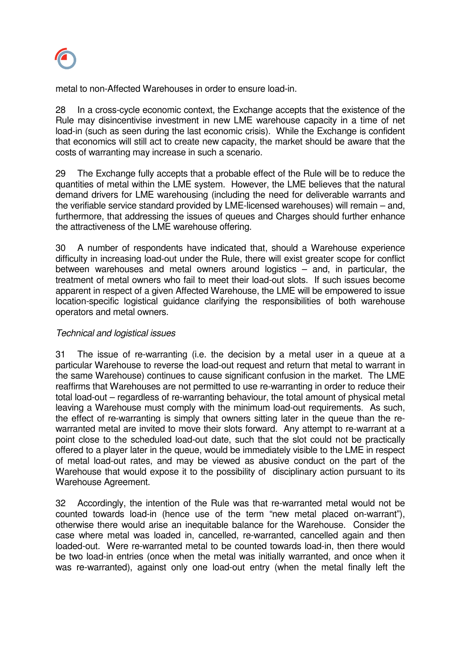

metal to non-Affected Warehouses in order to ensure load-in.

28 In a cross-cycle economic context, the Exchange accepts that the existence of the Rule may disincentivise investment in new LME warehouse capacity in a time of net load-in (such as seen during the last economic crisis). While the Exchange is confident that economics will still act to create new capacity, the market should be aware that the costs of warranting may increase in such a scenario.

29 The Exchange fully accepts that a probable effect of the Rule will be to reduce the quantities of metal within the LME system. However, the LME believes that the natural demand drivers for LME warehousing (including the need for deliverable warrants and the verifiable service standard provided by LME-licensed warehouses) will remain – and, furthermore, that addressing the issues of queues and Charges should further enhance the attractiveness of the LME warehouse offering.

30 A number of respondents have indicated that, should a Warehouse experience difficulty in increasing load-out under the Rule, there will exist greater scope for conflict between warehouses and metal owners around logistics – and, in particular, the treatment of metal owners who fail to meet their load-out slots. If such issues become apparent in respect of a given Affected Warehouse, the LME will be empowered to issue location-specific logistical guidance clarifying the responsibilities of both warehouse operators and metal owners.

## Technical and logistical issues

31 The issue of re-warranting (i.e. the decision by a metal user in a queue at a particular Warehouse to reverse the load-out request and return that metal to warrant in the same Warehouse) continues to cause significant confusion in the market. The LME reaffirms that Warehouses are not permitted to use re-warranting in order to reduce their total load-out – regardless of re-warranting behaviour, the total amount of physical metal leaving a Warehouse must comply with the minimum load-out requirements. As such, the effect of re-warranting is simply that owners sitting later in the queue than the rewarranted metal are invited to move their slots forward. Any attempt to re-warrant at a point close to the scheduled load-out date, such that the slot could not be practically offered to a player later in the queue, would be immediately visible to the LME in respect of metal load-out rates, and may be viewed as abusive conduct on the part of the Warehouse that would expose it to the possibility of disciplinary action pursuant to its Warehouse Agreement.

32 Accordingly, the intention of the Rule was that re-warranted metal would not be counted towards load-in (hence use of the term "new metal placed on-warrant"), otherwise there would arise an inequitable balance for the Warehouse. Consider the case where metal was loaded in, cancelled, re-warranted, cancelled again and then loaded-out. Were re-warranted metal to be counted towards load-in, then there would be two load-in entries (once when the metal was initially warranted, and once when it was re-warranted), against only one load-out entry (when the metal finally left the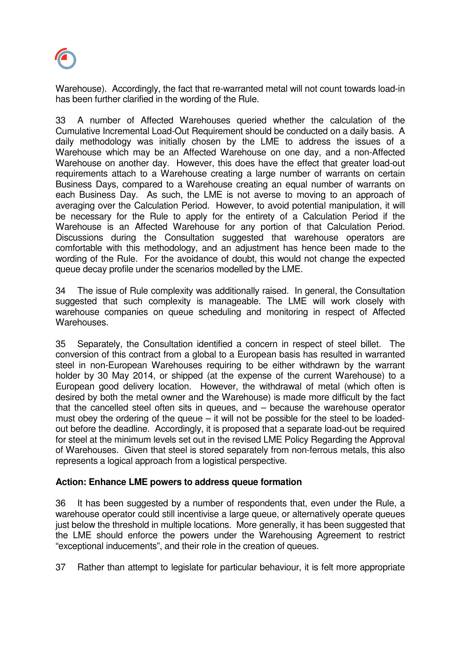

Warehouse). Accordingly, the fact that re-warranted metal will not count towards load-in has been further clarified in the wording of the Rule.

33 A number of Affected Warehouses queried whether the calculation of the Cumulative Incremental Load-Out Requirement should be conducted on a daily basis. A daily methodology was initially chosen by the LME to address the issues of a Warehouse which may be an Affected Warehouse on one day, and a non-Affected Warehouse on another day. However, this does have the effect that greater load-out requirements attach to a Warehouse creating a large number of warrants on certain Business Days, compared to a Warehouse creating an equal number of warrants on each Business Day. As such, the LME is not averse to moving to an approach of averaging over the Calculation Period. However, to avoid potential manipulation, it will be necessary for the Rule to apply for the entirety of a Calculation Period if the Warehouse is an Affected Warehouse for any portion of that Calculation Period. Discussions during the Consultation suggested that warehouse operators are comfortable with this methodology, and an adjustment has hence been made to the wording of the Rule. For the avoidance of doubt, this would not change the expected queue decay profile under the scenarios modelled by the LME.

34 The issue of Rule complexity was additionally raised. In general, the Consultation suggested that such complexity is manageable. The LME will work closely with warehouse companies on queue scheduling and monitoring in respect of Affected Warehouses.

35 Separately, the Consultation identified a concern in respect of steel billet. The conversion of this contract from a global to a European basis has resulted in warranted steel in non-European Warehouses requiring to be either withdrawn by the warrant holder by 30 May 2014, or shipped (at the expense of the current Warehouse) to a European good delivery location. However, the withdrawal of metal (which often is desired by both the metal owner and the Warehouse) is made more difficult by the fact that the cancelled steel often sits in queues, and – because the warehouse operator must obey the ordering of the queue – it will not be possible for the steel to be loadedout before the deadline. Accordingly, it is proposed that a separate load-out be required for steel at the minimum levels set out in the revised LME Policy Regarding the Approval of Warehouses. Given that steel is stored separately from non-ferrous metals, this also represents a logical approach from a logistical perspective.

## **Action: Enhance LME powers to address queue formation**

36 It has been suggested by a number of respondents that, even under the Rule, a warehouse operator could still incentivise a large queue, or alternatively operate queues just below the threshold in multiple locations. More generally, it has been suggested that the LME should enforce the powers under the Warehousing Agreement to restrict "exceptional inducements", and their role in the creation of queues.

37 Rather than attempt to legislate for particular behaviour, it is felt more appropriate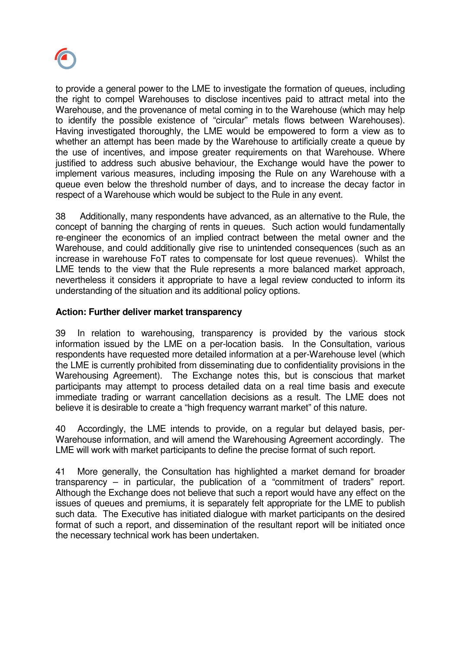

to provide a general power to the LME to investigate the formation of queues, including the right to compel Warehouses to disclose incentives paid to attract metal into the Warehouse, and the provenance of metal coming in to the Warehouse (which may help to identify the possible existence of "circular" metals flows between Warehouses). Having investigated thoroughly, the LME would be empowered to form a view as to whether an attempt has been made by the Warehouse to artificially create a queue by the use of incentives, and impose greater requirements on that Warehouse. Where justified to address such abusive behaviour, the Exchange would have the power to implement various measures, including imposing the Rule on any Warehouse with a queue even below the threshold number of days, and to increase the decay factor in respect of a Warehouse which would be subject to the Rule in any event.

38 Additionally, many respondents have advanced, as an alternative to the Rule, the concept of banning the charging of rents in queues. Such action would fundamentally re-engineer the economics of an implied contract between the metal owner and the Warehouse, and could additionally give rise to unintended consequences (such as an increase in warehouse FoT rates to compensate for lost queue revenues). Whilst the LME tends to the view that the Rule represents a more balanced market approach, nevertheless it considers it appropriate to have a legal review conducted to inform its understanding of the situation and its additional policy options.

## **Action: Further deliver market transparency**

39 In relation to warehousing, transparency is provided by the various stock information issued by the LME on a per-location basis. In the Consultation, various respondents have requested more detailed information at a per-Warehouse level (which the LME is currently prohibited from disseminating due to confidentiality provisions in the Warehousing Agreement). The Exchange notes this, but is conscious that market participants may attempt to process detailed data on a real time basis and execute immediate trading or warrant cancellation decisions as a result. The LME does not believe it is desirable to create a "high frequency warrant market" of this nature.

40 Accordingly, the LME intends to provide, on a regular but delayed basis, per-Warehouse information, and will amend the Warehousing Agreement accordingly. The LME will work with market participants to define the precise format of such report.

41 More generally, the Consultation has highlighted a market demand for broader transparency – in particular, the publication of a "commitment of traders" report. Although the Exchange does not believe that such a report would have any effect on the issues of queues and premiums, it is separately felt appropriate for the LME to publish such data. The Executive has initiated dialogue with market participants on the desired format of such a report, and dissemination of the resultant report will be initiated once the necessary technical work has been undertaken.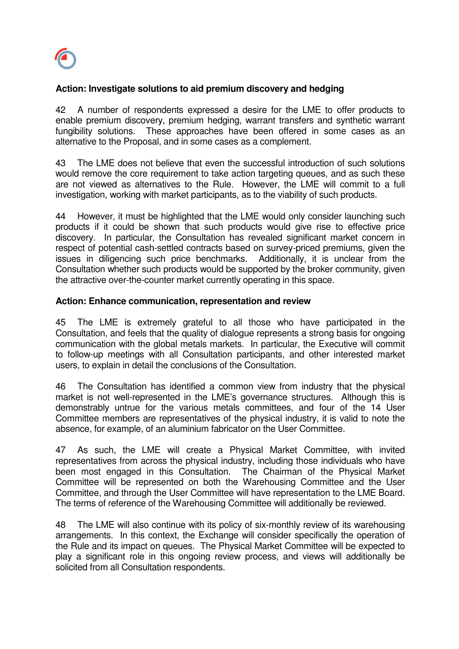

## **Action: Investigate solutions to aid premium discovery and hedging**

42 A number of respondents expressed a desire for the LME to offer products to enable premium discovery, premium hedging, warrant transfers and synthetic warrant fungibility solutions. These approaches have been offered in some cases as an alternative to the Proposal, and in some cases as a complement.

43 The LME does not believe that even the successful introduction of such solutions would remove the core requirement to take action targeting queues, and as such these are not viewed as alternatives to the Rule. However, the LME will commit to a full investigation, working with market participants, as to the viability of such products.

44 However, it must be highlighted that the LME would only consider launching such products if it could be shown that such products would give rise to effective price discovery. In particular, the Consultation has revealed significant market concern in respect of potential cash-settled contracts based on survey-priced premiums, given the issues in diligencing such price benchmarks. Additionally, it is unclear from the Consultation whether such products would be supported by the broker community, given the attractive over-the-counter market currently operating in this space.

#### **Action: Enhance communication, representation and review**

45 The LME is extremely grateful to all those who have participated in the Consultation, and feels that the quality of dialogue represents a strong basis for ongoing communication with the global metals markets. In particular, the Executive will commit to follow-up meetings with all Consultation participants, and other interested market users, to explain in detail the conclusions of the Consultation.

46 The Consultation has identified a common view from industry that the physical market is not well-represented in the LME's governance structures. Although this is demonstrably untrue for the various metals committees, and four of the 14 User Committee members are representatives of the physical industry, it is valid to note the absence, for example, of an aluminium fabricator on the User Committee.

47 As such, the LME will create a Physical Market Committee, with invited representatives from across the physical industry, including those individuals who have been most engaged in this Consultation. The Chairman of the Physical Market Committee will be represented on both the Warehousing Committee and the User Committee, and through the User Committee will have representation to the LME Board. The terms of reference of the Warehousing Committee will additionally be reviewed.

48 The LME will also continue with its policy of six-monthly review of its warehousing arrangements. In this context, the Exchange will consider specifically the operation of the Rule and its impact on queues. The Physical Market Committee will be expected to play a significant role in this ongoing review process, and views will additionally be solicited from all Consultation respondents.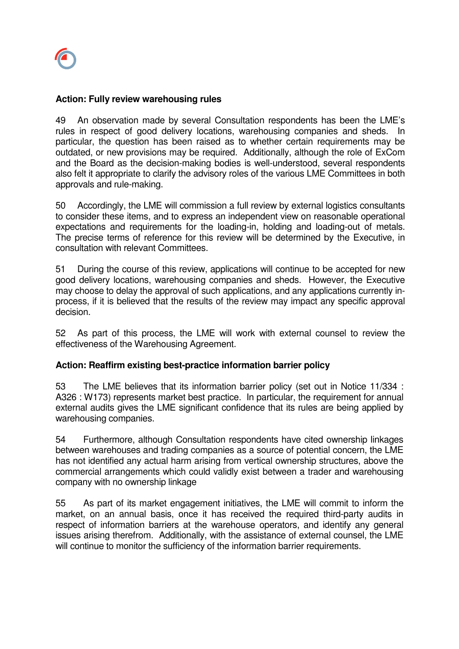#### **Action: Fully review warehousing rules**

49 An observation made by several Consultation respondents has been the LME's rules in respect of good delivery locations, warehousing companies and sheds. In particular, the question has been raised as to whether certain requirements may be outdated, or new provisions may be required. Additionally, although the role of ExCom and the Board as the decision-making bodies is well-understood, several respondents also felt it appropriate to clarify the advisory roles of the various LME Committees in both approvals and rule-making.

50 Accordingly, the LME will commission a full review by external logistics consultants to consider these items, and to express an independent view on reasonable operational expectations and requirements for the loading-in, holding and loading-out of metals. The precise terms of reference for this review will be determined by the Executive, in consultation with relevant Committees.

51 During the course of this review, applications will continue to be accepted for new good delivery locations, warehousing companies and sheds. However, the Executive may choose to delay the approval of such applications, and any applications currently inprocess, if it is believed that the results of the review may impact any specific approval decision.

52 As part of this process, the LME will work with external counsel to review the effectiveness of the Warehousing Agreement.

## **Action: Reaffirm existing best-practice information barrier policy**

53 The LME believes that its information barrier policy (set out in Notice 11/334 : A326 : W173) represents market best practice. In particular, the requirement for annual external audits gives the LME significant confidence that its rules are being applied by warehousing companies.

54 Furthermore, although Consultation respondents have cited ownership linkages between warehouses and trading companies as a source of potential concern, the LME has not identified any actual harm arising from vertical ownership structures, above the commercial arrangements which could validly exist between a trader and warehousing company with no ownership linkage

55 As part of its market engagement initiatives, the LME will commit to inform the market, on an annual basis, once it has received the required third-party audits in respect of information barriers at the warehouse operators, and identify any general issues arising therefrom. Additionally, with the assistance of external counsel, the LME will continue to monitor the sufficiency of the information barrier requirements.